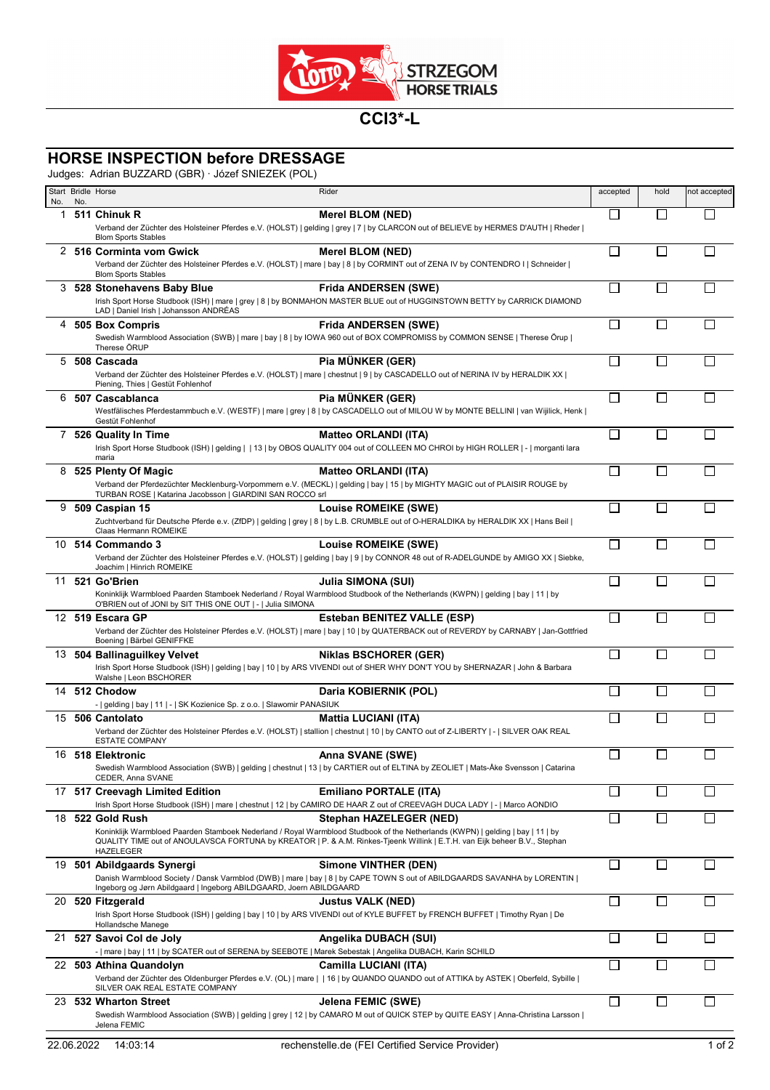

## **CCI3\*-L**

## **HORSE INSPECTION before DRESSAGE**

Judges: Adrian BUZZARD (GBR) · Józef SNIEZEK (POL)

| No. | No. | Start Bridle Horse                                                                                                                    | Rider                                                                                                                                                                                                                                                                                   | accepted                    | hold                     | not accepted |
|-----|-----|---------------------------------------------------------------------------------------------------------------------------------------|-----------------------------------------------------------------------------------------------------------------------------------------------------------------------------------------------------------------------------------------------------------------------------------------|-----------------------------|--------------------------|--------------|
| 1   |     | 511 Chinuk R<br><b>Blom Sports Stables</b>                                                                                            | Merel BLOM (NED)<br>Verband der Züchter des Holsteiner Pferdes e.V. (HOLST)   gelding   grey   7   by CLARCON out of BELIEVE by HERMES D'AUTH   Rheder                                                                                                                                  | $\mathsf{L}$                |                          |              |
|     |     | 2 516 Corminta vom Gwick<br><b>Blom Sports Stables</b>                                                                                | <b>Merel BLOM (NED)</b><br>Verband der Züchter des Holsteiner Pferdes e.V. (HOLST)   mare   bay   8   by CORMINT out of ZENA IV by CONTENDRO I   Schneider                                                                                                                              | $\Box$                      |                          |              |
| 3.  |     | 528 Stonehavens Baby Blue<br>LAD   Daniel Irish   Johansson ANDRÉAS                                                                   | <b>Frida ANDERSEN (SWE)</b><br>Irish Sport Horse Studbook (ISH)   mare   grey   8   by BONMAHON MASTER BLUE out of HUGGINSTOWN BETTY by CARRICK DIAMOND                                                                                                                                 | П                           |                          |              |
| 4   |     | 505 Box Compris<br>Therese ÖRUP                                                                                                       | <b>Frida ANDERSEN (SWE)</b><br>Swedish Warmblood Association (SWB)   mare   bay   8   by IOWA 960 out of BOX COMPROMISS by COMMON SENSE   Therese Örup                                                                                                                                  | $\mathbb{R}^n$              |                          |              |
| 5   |     | 508 Cascada<br>Piening, Thies   Gestüt Fohlenhof                                                                                      | Pia MÜNKER (GER)<br>Verband der Züchter des Holsteiner Pferdes e.V. (HOLST)   mare   chestnut   9   by CASCADELLO out of NERINA IV by HERALDIK XX                                                                                                                                       | $\Box$                      | $\mathsf{L}$             |              |
| 6   |     | 507 Cascablanca<br>Gestüt Fohlenhof                                                                                                   | Pia MÜNKER (GER)<br>Westfälisches Pferdestammbuch e.V. (WESTF)   mare   grey   8   by CASCADELLO out of MILOU W by MONTE BELLINI   van Wijilick, Henk                                                                                                                                   | □                           | $\Box$                   |              |
|     |     | 7 526 Quality In Time<br>maria                                                                                                        | <b>Matteo ORLANDI (ITA)</b><br>Irish Sport Horse Studbook (ISH)   gelding     13   by OBOS QUALITY 004 out of COLLEEN MO CHROI by HIGH ROLLER   -   morganti lara                                                                                                                       | □                           | П                        |              |
|     |     | 8 525 Plenty Of Magic<br>TURBAN ROSE   Katarina Jacobsson   GIARDINI SAN ROCCO srl                                                    | <b>Matteo ORLANDI (ITA)</b><br>Verband der Pferdezüchter Mecklenburg-Vorpommern e.V. (MECKL)   gelding   bay   15   by MIGHTY MAGIC out of PLAISIR ROUGE by                                                                                                                             | $\Box$                      | ΓΙ                       |              |
| 9   |     | 509 Caspian 15<br>Claas Hermann ROMEIKE                                                                                               | <b>Louise ROMEIKE (SWE)</b><br>Zuchtverband für Deutsche Pferde e.v. (ZfDP)   gelding   grey   8   by L.B. CRUMBLE out of O-HERALDIKA by HERALDIK XX   Hans Beil                                                                                                                        | $\mathcal{L}_{\mathcal{A}}$ |                          |              |
|     |     | 10 514 Commando 3<br>Joachim   Hinrich ROMEIKE                                                                                        | <b>Louise ROMEIKE (SWE)</b><br>Verband der Züchter des Holsteiner Pferdes e.V. (HOLST)   gelding   bay   9   by CONNOR 48 out of R-ADELGUNDE by AMIGO XX   Siebke,                                                                                                                      | П                           |                          |              |
| 11  |     | 521 Go'Brien<br>O'BRIEN out of JONI by SIT THIS ONE OUT   -   Julia SIMONA                                                            | <b>Julia SIMONA (SUI)</b><br>Koninklijk Warmbloed Paarden Stamboek Nederland / Royal Warmblood Studbook of the Netherlands (KWPN)   gelding   bay   11   by                                                                                                                             | $\mathbb{R}^n$              |                          |              |
|     |     | 12 519 Escara GP<br>Boening   Bärbel GENIFFKE                                                                                         | <b>Esteban BENITEZ VALLE (ESP)</b><br>Verband der Züchter des Holsteiner Pferdes e.V. (HOLST)   mare   bay   10   by QUATERBACK out of REVERDY by CARNABY   Jan-Gottfried                                                                                                               | $\mathsf{L}$                |                          |              |
|     |     | 13 504 Ballinaguilkey Velvet<br>Walshe   Leon BSCHORER                                                                                | <b>Niklas BSCHORER (GER)</b><br>Irish Sport Horse Studbook (ISH)   gelding   bay   10   by ARS VIVENDI out of SHER WHY DON'T YOU by SHERNAZAR   John & Barbara                                                                                                                          | П                           | $\mathbf{I}$             |              |
|     |     | 14 512 Chodow<br>-   gelding   bay   11   -   SK Kozienice Sp. z o.o.   Slawomir PANASIUK                                             | Daria KOBIERNIK (POL)                                                                                                                                                                                                                                                                   | Π                           | Г                        |              |
|     |     | 15 506 Cantolato<br><b>ESTATE COMPANY</b>                                                                                             | <b>Mattia LUCIANI (ITA)</b><br>Verband der Züchter des Holsteiner Pferdes e.V. (HOLST)   stallion   chestnut   10   by CANTO out of Z-LIBERTY   -   SILVER OAK REAL                                                                                                                     | $\Box$                      |                          |              |
|     |     | 16 518 Elektronic<br>CEDER, Anna SVANE                                                                                                | Anna SVANE (SWE)<br>Swedish Warmblood Association (SWB)   gelding   chestnut   13   by CARTIER out of ELTINA by ZEOLIET   Mats-Åke Svensson   Catarina                                                                                                                                  | $\Box$                      | $\Box$                   | Г            |
|     |     | 17 517 Creevagh Limited Edition                                                                                                       | <b>Emiliano PORTALE (ITA)</b><br>Irish Sport Horse Studbook (ISH)   mare   chestnut   12   by CAMIRO DE HAAR Z out of CREEVAGH DUCA LADY   -   Marco AONDIO                                                                                                                             |                             |                          |              |
| 18  |     | 522 Gold Rush<br>HAZELEGER                                                                                                            | Stephan HAZELEGER (NED)<br>Koninklijk Warmbloed Paarden Stamboek Nederland / Royal Warmblood Studbook of the Netherlands (KWPN)   gelding   bay   11   by<br>QUALITY TIME out of ANOULAVSCA FORTUNA by KREATOR   P. & A.M. Rinkes-Tjeenk Willink   E.T.H. van Eijk beheer B.V., Stephan | $\overline{\phantom{a}}$    |                          |              |
| 19  |     | 501 Abildgaards Synergi<br>Ingeborg og Jørn Abildgaard   Ingeborg ABILDGAARD, Joern ABILDGAARD                                        | <b>Simone VINTHER (DEN)</b><br>Danish Warmblood Society / Dansk Varmblod (DWB)   mare   bay   8   by CAPE TOWN S out of ABILDGAARDS SAVANHA by LORENTIN                                                                                                                                 | $\Box$                      | H                        |              |
|     |     | 20 520 Fitzgerald<br>Hollandsche Manege                                                                                               | <b>Justus VALK (NED)</b><br>Irish Sport Horse Studbook (ISH)   gelding   bay   10   by ARS VIVENDI out of KYLE BUFFET by FRENCH BUFFET   Timothy Ryan   De                                                                                                                              | П                           | $\overline{\phantom{a}}$ |              |
|     |     | 21 527 Savoi Col de Joly<br>-   mare   bay   11   by SCATER out of SERENA by SEEBOTE   Marek Sebestak   Angelika DUBACH, Karin SCHILD | Angelika DUBACH (SUI)                                                                                                                                                                                                                                                                   | $\mathsf{L}$                | L                        |              |
|     |     | 22 503 Athina Quandolyn<br>SILVER OAK REAL ESTATE COMPANY                                                                             | Camilla LUCIANI (ITA)<br>Verband der Züchter des Oldenburger Pferdes e.V. (OL)   mare     16   by QUANDO QUANDO out of ATTIKA by ASTEK   Oberfeld, Sybille                                                                                                                              | П                           | L                        |              |
| 23  |     | 532 Wharton Street<br>Jelena FEMIC                                                                                                    | Jelena FEMIC (SWE)<br>Swedish Warmblood Association (SWB)   gelding   grey   12   by CAMARO M out of QUICK STEP by QUITE EASY   Anna-Christina Larsson                                                                                                                                  | $\Box$                      | П                        |              |